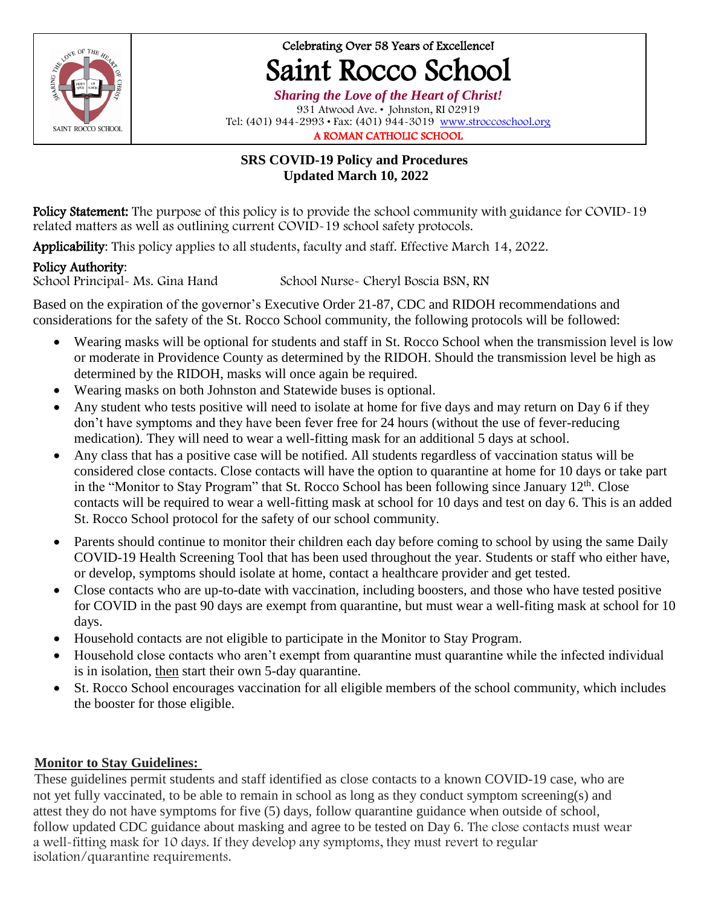

# Celebrating Over 58 Years of Excellence! Saint Rocco School

*Sharing the Love of the Heart of Christ!* 931 Atwood Ave. • Johnston, RI 02919 Tel: (401) 944-2993 • Fax: (401) 944-3019 [www.stroccoschool.org](http://www.stroccoschool.org/) A ROMAN CATHOLIC SCHOOL

### **SRS COVID-19 Policy and Procedures Updated March 10, 2022**

Policy Statement: The purpose of this policy is to provide the school community with guidance for COVID-19 related matters as well as outlining current COVID-19 school safety protocols.

Applicability: This policy applies to all students, faculty and staff. Effective March 14, 2022.

Policy Authority:<br>School Principal- Ms. Gina Hand

School Nurse- Cheryl Boscia BSN, RN

Based on the expiration of the governor's Executive Order 21-87, CDC and RIDOH recommendations and considerations for the safety of the St. Rocco School community, the following protocols will be followed:

- Wearing masks will be optional for students and staff in St. Rocco School when the transmission level is low or moderate in Providence County as determined by the RIDOH. Should the transmission level be high as determined by the RIDOH, masks will once again be required.
- Wearing masks on both Johnston and Statewide buses is optional.
- Any student who tests positive will need to isolate at home for five days and may return on Day 6 if they don't have symptoms and they have been fever free for 24 hours (without the use of fever-reducing medication). They will need to wear a well-fitting mask for an additional 5 days at school.
- Any class that has a positive case will be notified. All students regardless of vaccination status will be considered close contacts. Close contacts will have the option to quarantine at home for 10 days or take part in the "Monitor to Stay Program" that St. Rocco School has been following since January  $12<sup>th</sup>$ . Close contacts will be required to wear a well-fitting mask at school for 10 days and test on day 6. This is an added St. Rocco School protocol for the safety of our school community.
- Parents should continue to monitor their children each day before coming to school by using the same Daily COVID-19 Health Screening Tool that has been used throughout the year. Students or staff who either have, or develop, symptoms should isolate at home, contact a healthcare provider and get tested.
- Close contacts who are up-to-date with vaccination, including boosters, and those who have tested positive for COVID in the past 90 days are exempt from quarantine, but must wear a well-fiting mask at school for 10 days.
- Household contacts are not eligible to participate in the Monitor to Stay Program.
- Household close contacts who aren't exempt from quarantine must quarantine while the infected individual is in isolation, then start their own 5-day quarantine.
- St. Rocco School encourages vaccination for all eligible members of the school community, which includes the booster for those eligible.

# **Monitor to Stay Guidelines:**

These guidelines permit students and staff identified as close contacts to a known COVID-19 case, who are not yet fully vaccinated, to be able to remain in school as long as they conduct symptom screening(s) and attest they do not have symptoms for five (5) days, follow quarantine guidance when outside of school, follow updated CDC guidance about masking and agree to be tested on Day 6. The close contacts must wear a well-fitting mask for 10 days. If they develop any symptoms, they must revert to regular isolation/quarantine requirements.